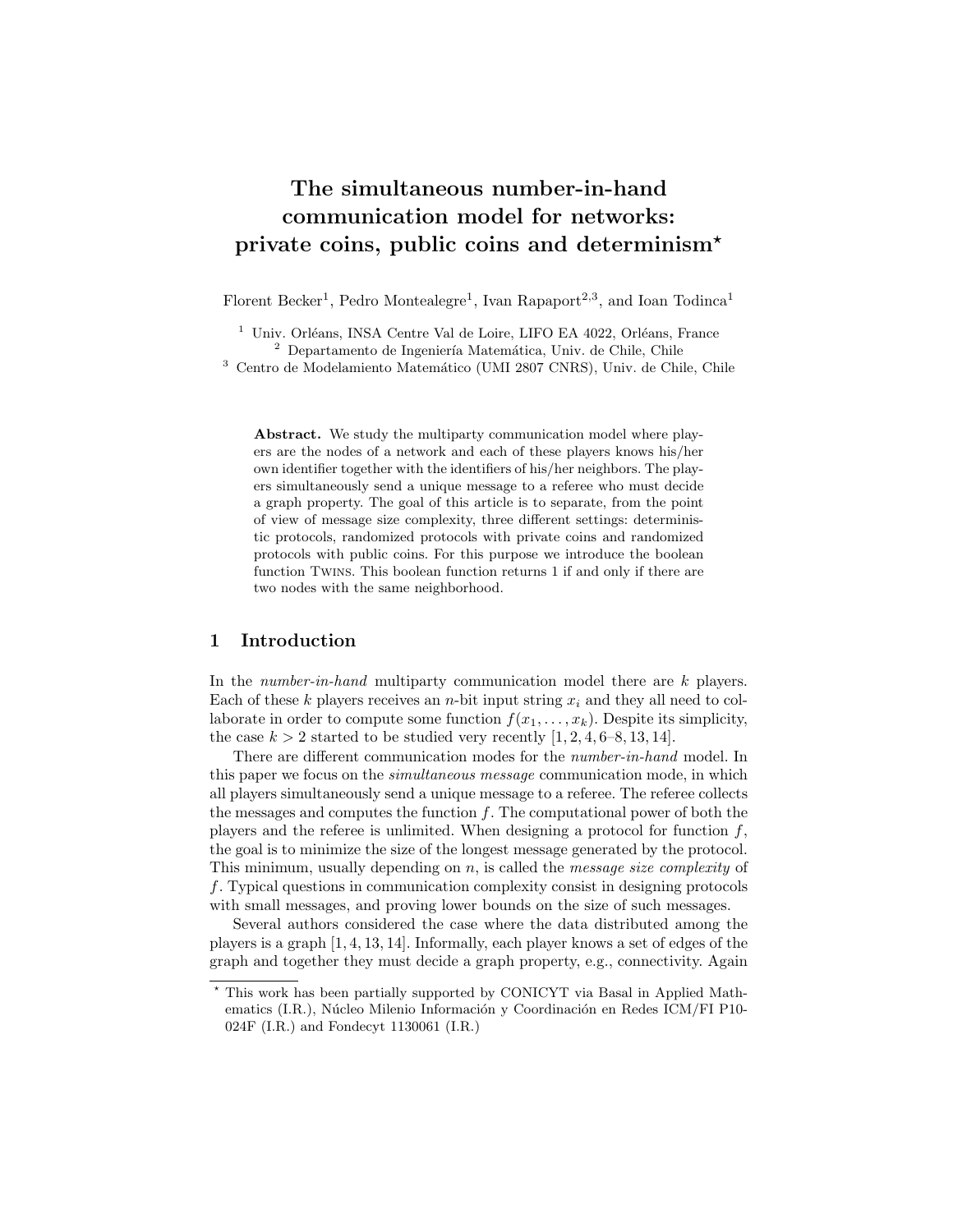# The simultaneous number-in-hand communication model for networks: private coins, public coins and determinism?

Florent Becker<sup>1</sup>, Pedro Montealegre<sup>1</sup>, Ivan Rapaport<sup>2,3</sup>, and Ioan Todinca<sup>1</sup>

 $^{\rm 1}$ Univ. Orléans, INSA Centre Val de Loire, LIFO EA 4022, Orléans, France  $^2$  Departamento de Ingeniería Matemática, Univ. de Chile, Chile

<sup>3</sup> Centro de Modelamiento Matemático (UMI 2807 CNRS), Univ. de Chile, Chile

Abstract. We study the multiparty communication model where players are the nodes of a network and each of these players knows his/her own identifier together with the identifiers of his/her neighbors. The players simultaneously send a unique message to a referee who must decide a graph property. The goal of this article is to separate, from the point of view of message size complexity, three different settings: deterministic protocols, randomized protocols with private coins and randomized protocols with public coins. For this purpose we introduce the boolean function Twins. This boolean function returns 1 if and only if there are two nodes with the same neighborhood.

#### 1 Introduction

In the *number-in-hand* multiparty communication model there are  $k$  players. Each of these k players receives an n-bit input string  $x_i$  and they all need to collaborate in order to compute some function  $f(x_1, \ldots, x_k)$ . Despite its simplicity, the case  $k > 2$  started to be studied very recently  $[1, 2, 4, 6-8, 13, 14]$ .

There are different communication modes for the number-in-hand model. In this paper we focus on the *simultaneous message* communication mode, in which all players simultaneously send a unique message to a referee. The referee collects the messages and computes the function  $f$ . The computational power of both the players and the referee is unlimited. When designing a protocol for function  $f$ , the goal is to minimize the size of the longest message generated by the protocol. This minimum, usually depending on  $n$ , is called the *message size complexity* of f. Typical questions in communication complexity consist in designing protocols with small messages, and proving lower bounds on the size of such messages.

Several authors considered the case where the data distributed among the players is a graph [1, 4, 13, 14]. Informally, each player knows a set of edges of the graph and together they must decide a graph property, e.g., connectivity. Again

<sup>?</sup> This work has been partially supported by CONICYT via Basal in Applied Mathematics (I.R.), Núcleo Milenio Información y Coordinación en Redes ICM/FI P10-024F (I.R.) and Fondecyt 1130061 (I.R.)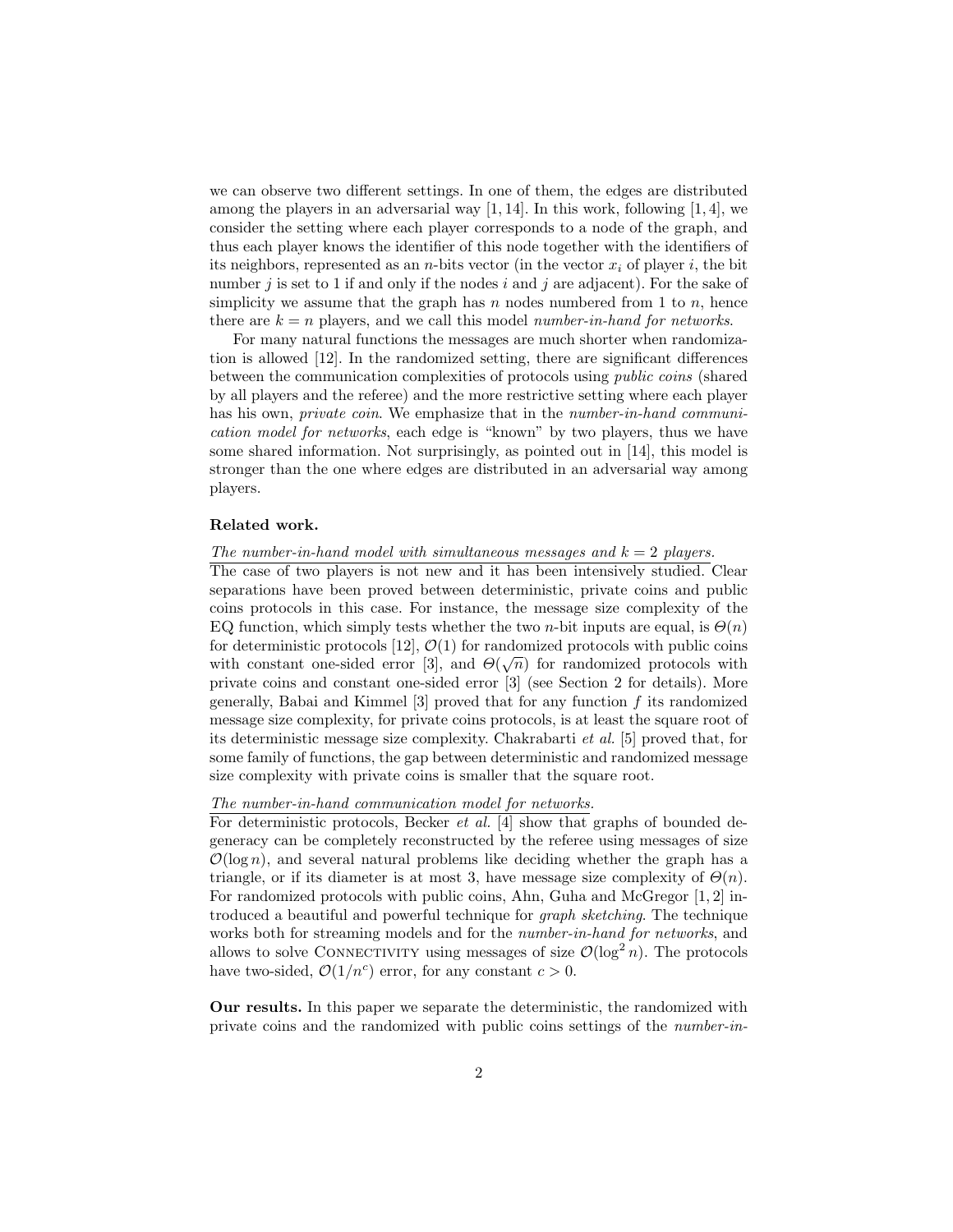we can observe two different settings. In one of them, the edges are distributed among the players in an adversarial way  $[1, 14]$ . In this work, following  $[1, 4]$ , we consider the setting where each player corresponds to a node of the graph, and thus each player knows the identifier of this node together with the identifiers of its neighbors, represented as an *n*-bits vector (in the vector  $x_i$  of player i, the bit number j is set to 1 if and only if the nodes i and j are adjacent). For the sake of simplicity we assume that the graph has n nodes numbered from 1 to n, hence there are  $k = n$  players, and we call this model number-in-hand for networks.

For many natural functions the messages are much shorter when randomization is allowed [12]. In the randomized setting, there are significant differences between the communication complexities of protocols using public coins (shared by all players and the referee) and the more restrictive setting where each player has his own, *private coin*. We emphasize that in the *number-in-hand communi*cation model for networks, each edge is "known" by two players, thus we have some shared information. Not surprisingly, as pointed out in [14], this model is stronger than the one where edges are distributed in an adversarial way among players.

#### Related work.

### The number-in-hand model with simultaneous messages and  $k = 2$  players.

The case of two players is not new and it has been intensively studied. Clear separations have been proved between deterministic, private coins and public coins protocols in this case. For instance, the message size complexity of the EQ function, which simply tests whether the two n-bit inputs are equal, is  $\Theta(n)$ for deterministic protocols [12],  $\mathcal{O}(1)$  for randomized protocols with public coins with constant one-sided error [3], and  $\Theta(\sqrt{n})$  for randomized protocols with private coins and constant one-sided error [3] (see Section 2 for details). More generally, Babai and Kimmel  $[3]$  proved that for any function f its randomized message size complexity, for private coins protocols, is at least the square root of its deterministic message size complexity. Chakrabarti et al. [5] proved that, for some family of functions, the gap between deterministic and randomized message size complexity with private coins is smaller that the square root.

#### The number-in-hand communication model for networks.

For deterministic protocols, Becker *et al.* [4] show that graphs of bounded degeneracy can be completely reconstructed by the referee using messages of size  $\mathcal{O}(\log n)$ , and several natural problems like deciding whether the graph has a triangle, or if its diameter is at most 3, have message size complexity of  $\Theta(n)$ . For randomized protocols with public coins, Ahn, Guha and McGregor [1, 2] introduced a beautiful and powerful technique for graph sketching. The technique works both for streaming models and for the *number-in-hand for networks*, and allows to solve CONNECTIVITY using messages of size  $\mathcal{O}(\log^2 n)$ . The protocols have two-sided,  $\mathcal{O}(1/n^c)$  error, for any constant  $c > 0$ .

Our results. In this paper we separate the deterministic, the randomized with private coins and the randomized with public coins settings of the number-in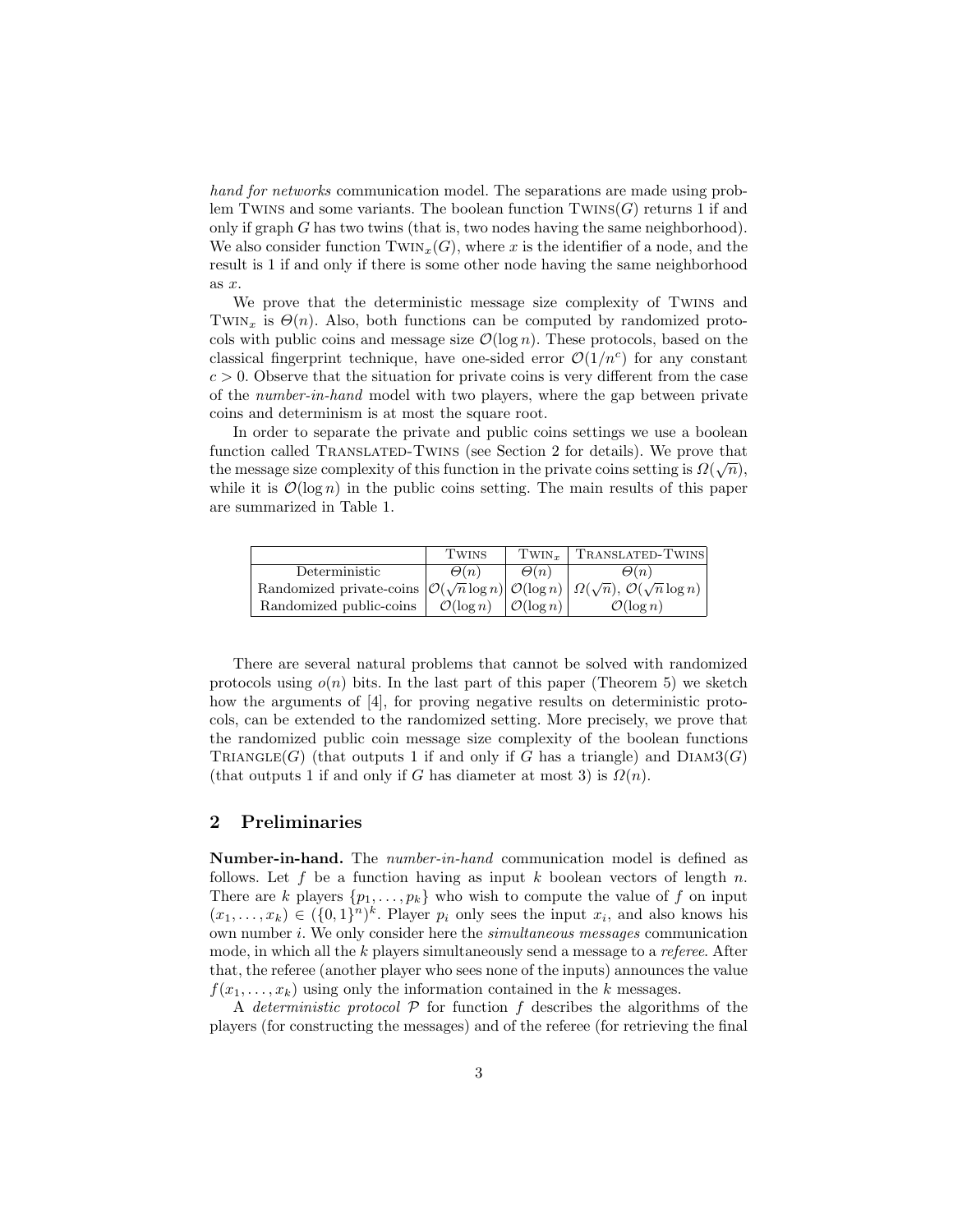hand for networks communication model. The separations are made using problem Twins and some variants. The boolean function  $Twins(G)$  returns 1 if and only if graph  $G$  has two twins (that is, two nodes having the same neighborhood). We also consider function  $Twin_x(G)$ , where x is the identifier of a node, and the result is 1 if and only if there is some other node having the same neighborhood as  $x$ .

We prove that the deterministic message size complexity of Twins and TWIN<sub>x</sub> is  $\Theta(n)$ . Also, both functions can be computed by randomized protocols with public coins and message size  $\mathcal{O}(\log n)$ . These protocols, based on the classical fingerprint technique, have one-sided error  $\mathcal{O}(1/n^c)$  for any constant  $c > 0$ . Observe that the situation for private coins is very different from the case of the number-in-hand model with two players, where the gap between private coins and determinism is at most the square root.

In order to separate the private and public coins settings we use a boolean function called TRANSLATED-TWINS (see Section 2 for details). We prove that the message size complexity of this function in the private coins setting is  $\Omega(\sqrt{n}),$ while it is  $\mathcal{O}(\log n)$  in the public coins setting. The main results of this paper are summarized in Table 1.

|                                                                                                                                                         | <b>TWINS</b>                                | $T_{WINr}$  | TRANSLATED-TWINS      |
|---------------------------------------------------------------------------------------------------------------------------------------------------------|---------------------------------------------|-------------|-----------------------|
| Deterministic                                                                                                                                           | $\Theta(n)$                                 | $\Theta(n)$ | $\Theta(n)$           |
| Randomized private-coins $\left \mathcal{O}(\sqrt{n}\log n)\right  \mathcal{O}(\log n) \left \mathcal{Q}(\sqrt{n}), \mathcal{O}(\sqrt{n}\log n)\right $ |                                             |             |                       |
| Randomized public-coins                                                                                                                                 | $\mathcal{O}(\log n)$ $\mathcal{O}(\log n)$ |             | $\mathcal{O}(\log n)$ |

There are several natural problems that cannot be solved with randomized protocols using  $o(n)$  bits. In the last part of this paper (Theorem 5) we sketch how the arguments of [4], for proving negative results on deterministic protocols, can be extended to the randomized setting. More precisely, we prove that the randomized public coin message size complexity of the boolean functions TRIANGLE(G) (that outputs 1 if and only if G has a triangle) and  $DIAM3(G)$ (that outputs 1 if and only if G has diameter at most 3) is  $\Omega(n)$ .

### 2 Preliminaries

Number-in-hand. The number-in-hand communication model is defined as follows. Let f be a function having as input k boolean vectors of length n. There are k players  $\{p_1, \ldots, p_k\}$  who wish to compute the value of f on input  $(x_1, \ldots, x_k) \in (\{0,1\}^n)^k$ . Player  $p_i$  only sees the input  $x_i$ , and also knows his own number i. We only consider here the simultaneous messages communication mode, in which all the k players simultaneously send a message to a referee. After that, the referee (another player who sees none of the inputs) announces the value  $f(x_1, \ldots, x_k)$  using only the information contained in the k messages.

A deterministic protocol  $P$  for function  $f$  describes the algorithms of the players (for constructing the messages) and of the referee (for retrieving the final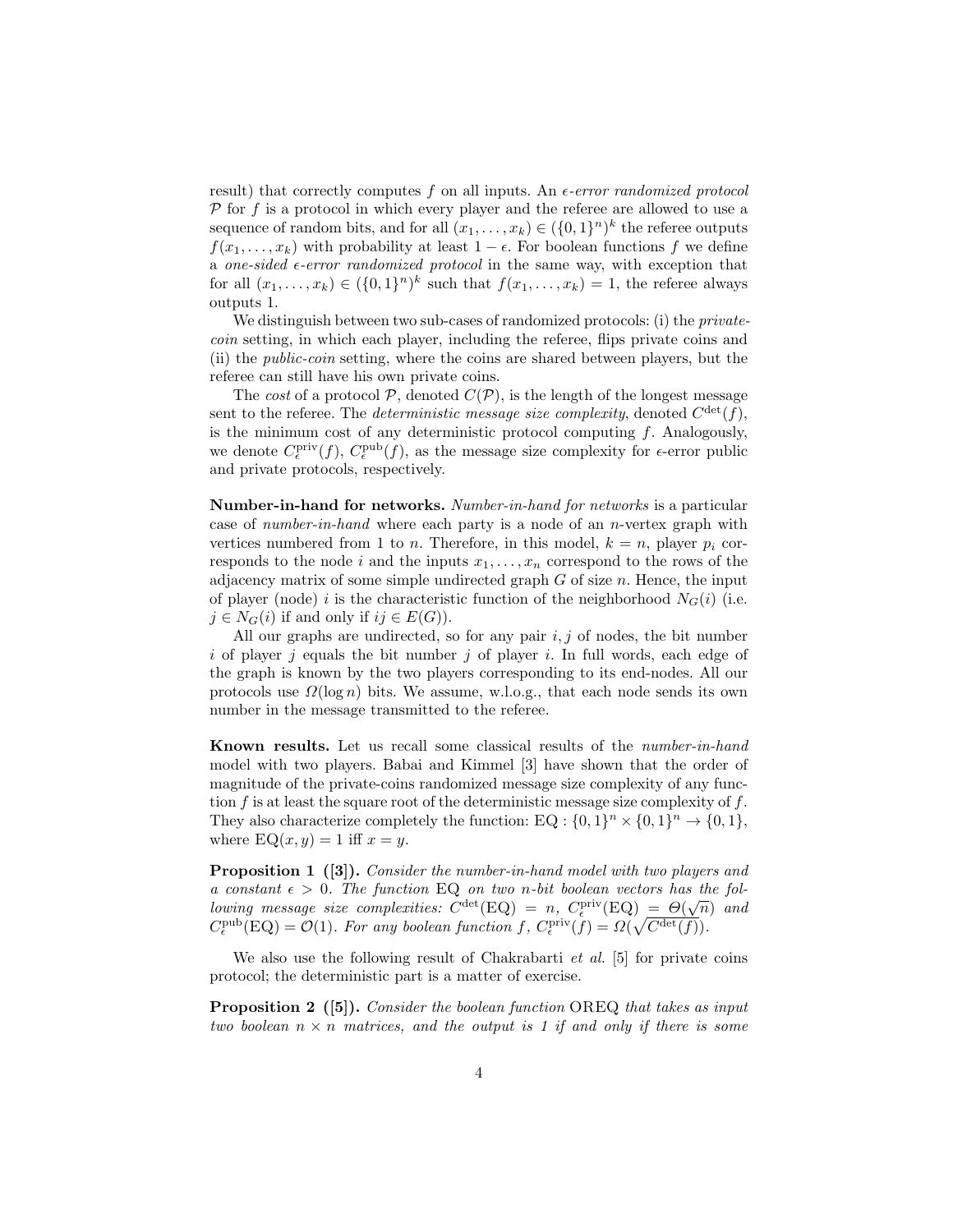result) that correctly computes f on all inputs. An  $\epsilon$ -error randomized protocol  $P$  for f is a protocol in which every player and the referee are allowed to use a sequence of random bits, and for all  $(x_1, \ldots, x_k) \in (\{0, 1\}^n)^k$  the referee outputs  $f(x_1, \ldots, x_k)$  with probability at least  $1 - \epsilon$ . For boolean functions f we define a one-sided  $\epsilon$ -error randomized protocol in the same way, with exception that for all  $(x_1, \ldots, x_k) \in (\{0,1\}^n)^k$  such that  $f(x_1, \ldots, x_k) = 1$ , the referee always outputs 1.

We distinguish between two sub-cases of randomized protocols: (i) the *private*coin setting, in which each player, including the referee, flips private coins and (ii) the public-coin setting, where the coins are shared between players, but the referee can still have his own private coins.

The cost of a protocol  $P$ , denoted  $C(P)$ , is the length of the longest message sent to the referee. The *deterministic message size complexity*, denoted  $C^{\text{det}}(f)$ , is the minimum cost of any deterministic protocol computing  $f$ . Analogously, we denote  $C_{\epsilon}^{\text{priv}}(f)$ ,  $C_{\epsilon}^{\text{pub}}(f)$ , as the message size complexity for  $\epsilon$ -error public and private protocols, respectively.

Number-in-hand for networks. Number-in-hand for networks is a particular case of number-in-hand where each party is a node of an n-vertex graph with vertices numbered from 1 to *n*. Therefore, in this model,  $k = n$ , player  $p_i$  corresponds to the node i and the inputs  $x_1, \ldots, x_n$  correspond to the rows of the adjacency matrix of some simple undirected graph  $G$  of size  $n$ . Hence, the input of player (node) i is the characteristic function of the neighborhood  $N_G(i)$  (i.e.  $j \in N_G(i)$  if and only if  $ij \in E(G)$ ).

All our graphs are undirected, so for any pair  $i, j$  of nodes, the bit number i of player j equals the bit number j of player i. In full words, each edge of the graph is known by the two players corresponding to its end-nodes. All our protocols use  $\Omega(\log n)$  bits. We assume, w.l.o.g., that each node sends its own number in the message transmitted to the referee.

Known results. Let us recall some classical results of the number-in-hand model with two players. Babai and Kimmel [3] have shown that the order of magnitude of the private-coins randomized message size complexity of any function  $f$  is at least the square root of the deterministic message size complexity of  $f$ . They also characterize completely the function: EQ :  $\{0,1\}^n \times \{0,1\}^n \rightarrow \{0,1\}$ , where  $EQ(x, y) = 1$  iff  $x = y$ .

Proposition 1 ([3]). Consider the number-in-hand model with two players and a constant  $\epsilon > 0$ . The function EQ on two n-bit boolean vectors has the fol- $\omega$  constant  $\epsilon > 0$ . The function EQ on two n-on obstean vectors has the following message size complexities:  $C^{\text{det}}(EQ) = n$ ,  $C^{\text{priv}}_{\epsilon}(EQ) = \Theta(\sqrt{n})$  and  $C_{\epsilon}^{\text{pub}}(\text{EQ}) = \mathcal{O}(1)$ . For any boolean function f,  $C_{\epsilon}^{\text{priv}}(f) = \Omega(\sqrt{C^{\text{det}}(f)})$ .

We also use the following result of Chakrabarti  $et \ al.$  [5] for private coins protocol; the deterministic part is a matter of exercise.

**Proposition 2** ([5]). Consider the boolean function OREQ that takes as input two boolean  $n \times n$  matrices, and the output is 1 if and only if there is some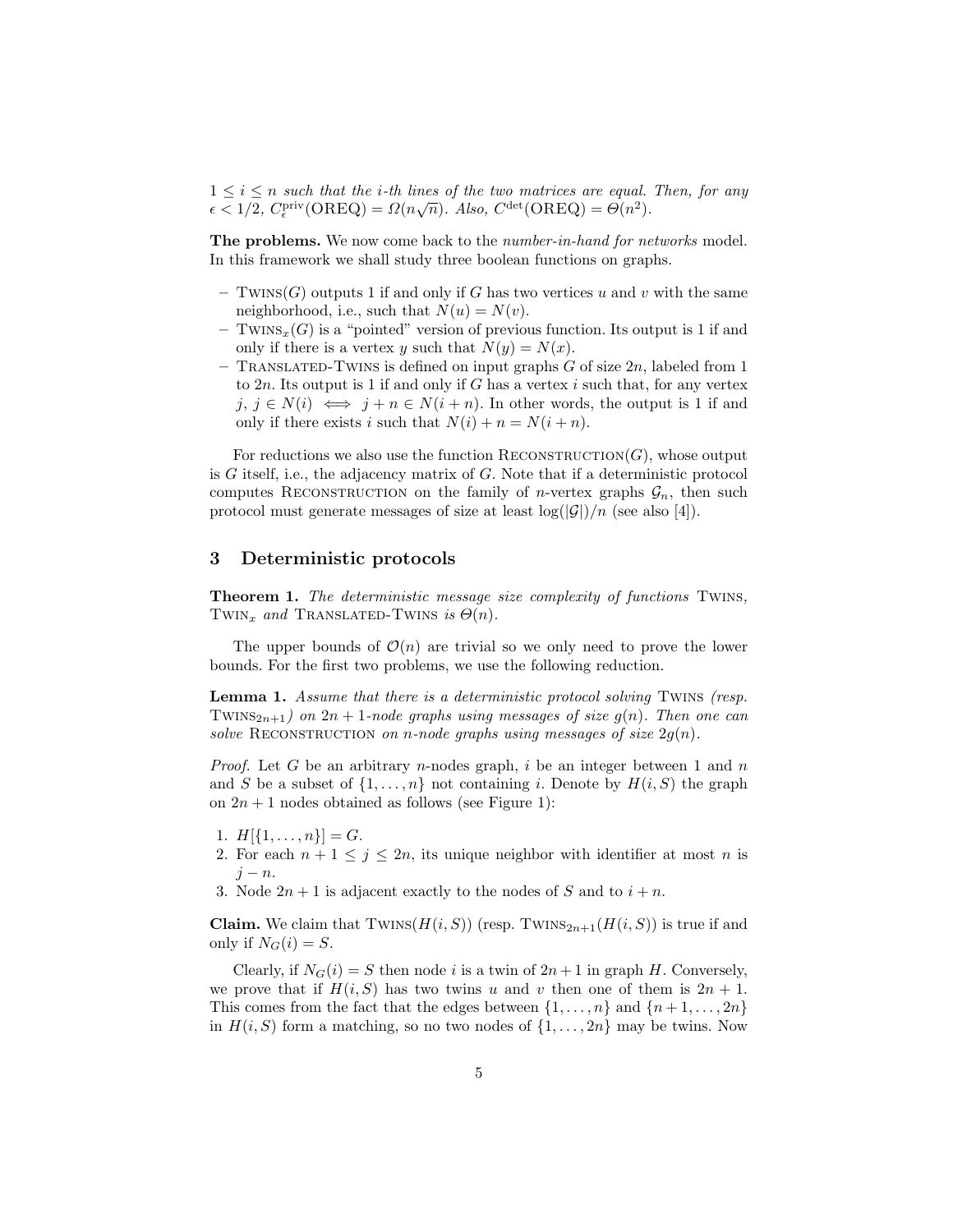$1 \leq i \leq n$  such that the *i*-th lines of the two matrices are equal. Then, for any  $\epsilon < 1/2$ ,  $C_{\epsilon}^{\text{priv}}(\text{OREQ}) = \Omega(n\sqrt{n})$ . Also,  $C^{\text{det}}(\text{OREQ}) = \Theta(n^2)$ .

The problems. We now come back to the *number-in-hand for networks* model. In this framework we shall study three boolean functions on graphs.

- Twins(G) outputs 1 if and only if G has two vertices u and v with the same neighborhood, i.e., such that  $N(u) = N(v)$ .
- TWINS<sub>x</sub>(G) is a "pointed" version of previous function. Its output is 1 if and only if there is a vertex y such that  $N(y) = N(x)$ .
- TRANSLATED-TWINS is defined on input graphs  $G$  of size  $2n$ , labeled from 1 to  $2n$ . Its output is 1 if and only if G has a vertex i such that, for any vertex  $j, j \in N(i) \iff j + n \in N(i + n)$ . In other words, the output is 1 if and only if there exists i such that  $N(i) + n = N(i + n)$ .

For reductions we also use the function RECONSTRUCTION $(G)$ , whose output is  $G$  itself, i.e., the adjacency matrix of  $G$ . Note that if a deterministic protocol computes RECONSTRUCTION on the family of *n*-vertex graphs  $\mathcal{G}_n$ , then such protocol must generate messages of size at least  $\log(|\mathcal{G}|)/n$  (see also [4]).

#### 3 Deterministic protocols

Theorem 1. The deterministic message size complexity of functions TWINS, TWIN<sub>x</sub> and TRANSLATED-TWINS is  $\Theta(n)$ .

The upper bounds of  $\mathcal{O}(n)$  are trivial so we only need to prove the lower bounds. For the first two problems, we use the following reduction.

**Lemma 1.** Assume that there is a deterministic protocol solving TWINS (resp. TWINS<sub>2n+1</sub>) on 2n + 1-node graphs using messages of size  $g(n)$ . Then one can solve RECONSTRUCTION on n-node graphs using messages of size  $2g(n)$ .

*Proof.* Let G be an arbitrary n-nodes graph, i be an integer between 1 and  $n$ and S be a subset of  $\{1,\ldots,n\}$  not containing i. Denote by  $H(i, S)$  the graph on  $2n + 1$  nodes obtained as follows (see Figure 1):

- 1.  $H[\{1,\ldots,n\}]=G.$
- 2. For each  $n + 1 \leq j \leq 2n$ , its unique neighbor with identifier at most n is  $j - n$ .
- 3. Node  $2n + 1$  is adjacent exactly to the nodes of S and to  $i + n$ .

**Claim.** We claim that  $TWINS(H(i, S))$  (resp.  $TWINS_{2n+1}(H(i, S))$  is true if and only if  $N_G(i) = S$ .

Clearly, if  $N_G(i) = S$  then node i is a twin of  $2n + 1$  in graph H. Conversely, we prove that if  $H(i, S)$  has two twins u and v then one of them is  $2n + 1$ . This comes from the fact that the edges between  $\{1, \ldots, n\}$  and  $\{n+1, \ldots, 2n\}$ in  $H(i, S)$  form a matching, so no two nodes of  $\{1, \ldots, 2n\}$  may be twins. Now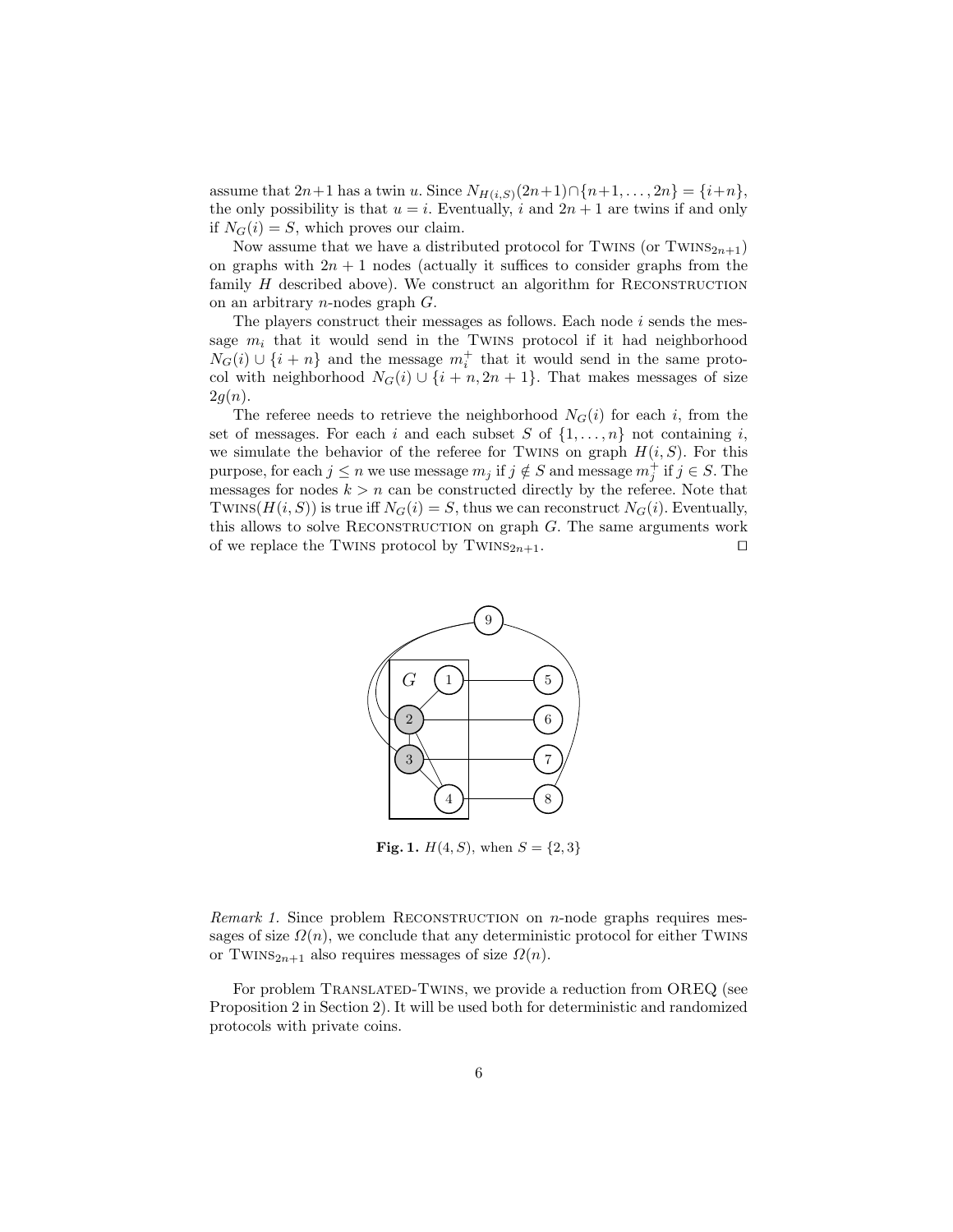assume that  $2n+1$  has a twin u. Since  $N_{H(i, S)}(2n+1) \cap \{n+1, ..., 2n\} = \{i+n\},\$ the only possibility is that  $u = i$ . Eventually, i and  $2n + 1$  are twins if and only if  $N_G(i) = S$ , which proves our claim.

Now assume that we have a distributed protocol for TWINS (or TWINS<sub>2n+1</sub>) on graphs with  $2n + 1$  nodes (actually it suffices to consider graphs from the family  $H$  described above). We construct an algorithm for RECONSTRUCTION on an arbitrary n-nodes graph G.

The players construct their messages as follows. Each node  $i$  sends the message  $m_i$  that it would send in the TWINS protocol if it had neighborhood  $N_G(i) \cup \{i+n\}$  and the message  $m_i^+$  that it would send in the same protocol with neighborhood  $N_G(i) \cup \{i + n, 2n + 1\}$ . That makes messages of size  $2g(n).$ 

The referee needs to retrieve the neighborhood  $N_G(i)$  for each i, from the set of messages. For each i and each subset S of  $\{1, \ldots, n\}$  not containing i, we simulate the behavior of the referee for TWINS on graph  $H(i, S)$ . For this purpose, for each  $j \leq n$  we use message  $m_j$  if  $j \notin S$  and message  $m_j^+$  if  $j \in S$ . The messages for nodes  $k > n$  can be constructed directly by the referee. Note that TWINS( $H(i, S)$ ) is true iff  $N_G(i) = S$ , thus we can reconstruct  $N_G(i)$ . Eventually, this allows to solve RECONSTRUCTION on graph  $G$ . The same arguments work of we replace the TWINS protocol by TWINS<sub>2n+1</sub>.  $\square$ 



**Fig. 1.**  $H(4, S)$ , when  $S = \{2, 3\}$ 

Remark 1. Since problem RECONSTRUCTION on n-node graphs requires messages of size  $\Omega(n)$ , we conclude that any deterministic protocol for either TWINS or TWINS<sub>2n+1</sub> also requires messages of size  $\Omega(n)$ .

For problem TRANSLATED-TWINS, we provide a reduction from OREQ (see Proposition 2 in Section 2). It will be used both for deterministic and randomized protocols with private coins.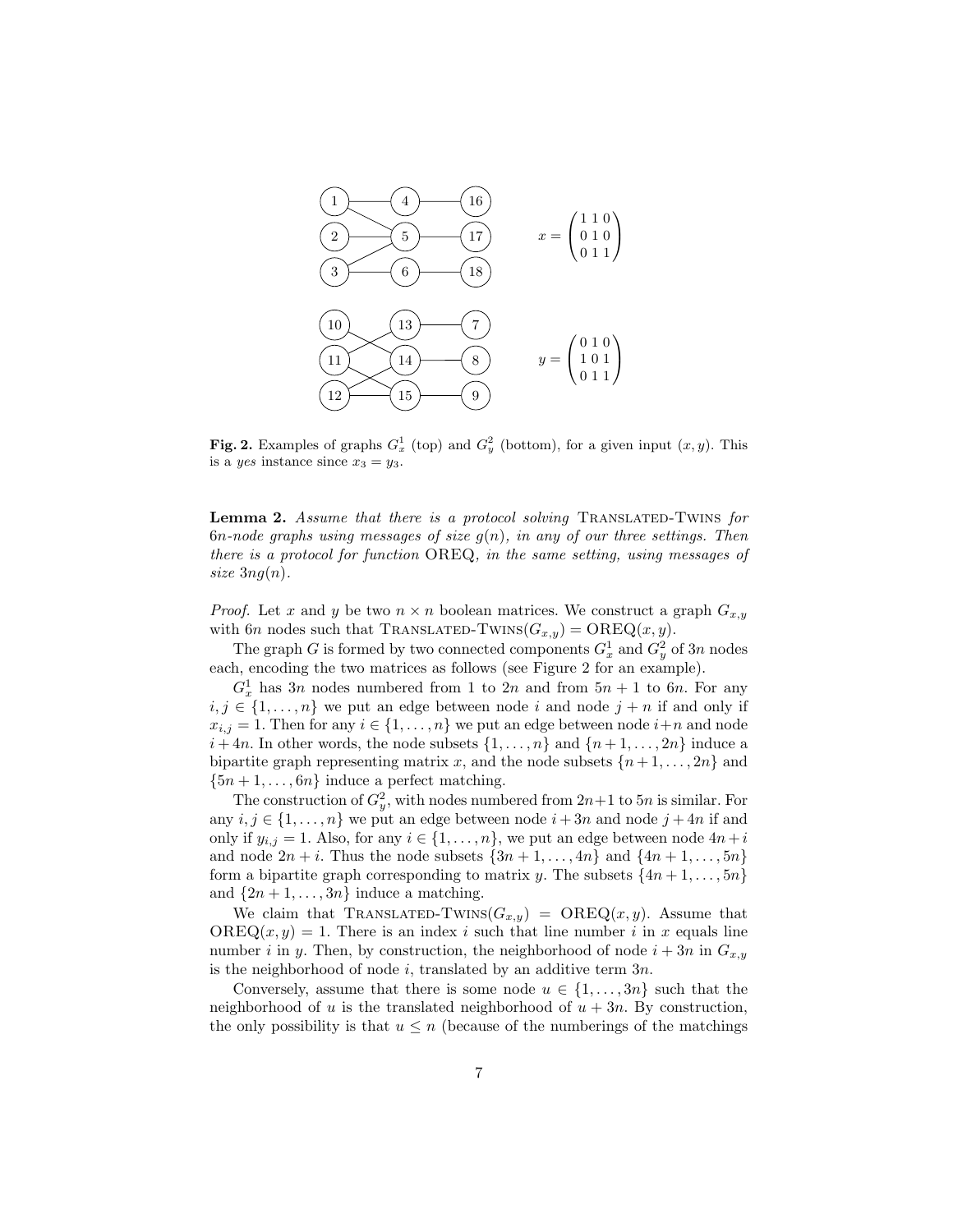

Fig. 2. Examples of graphs  $G_x^1$  (top) and  $G_y^2$  (bottom), for a given input  $(x, y)$ . This is a *yes* instance since  $x_3 = y_3$ .

Lemma 2. Assume that there is a protocol solving TRANSLATED-TWINS for 6n-node graphs using messages of size  $g(n)$ , in any of our three settings. Then there is a protocol for function OREQ, in the same setting, using messages of size  $3ng(n)$ .

*Proof.* Let x and y be two  $n \times n$  boolean matrices. We construct a graph  $G_{x,y}$ with 6n nodes such that TRANSLATED-TWINS $(G_{x,y}) = \text{OREQ}(x, y)$ .

The graph G is formed by two connected components  $G_x^1$  and  $G_y^2$  of 3n nodes each, encoding the two matrices as follows (see Figure 2 for an example).

 $G_x^1$  has 3n nodes numbered from 1 to 2n and from  $5n + 1$  to 6n. For any  $i, j \in \{1, \ldots, n\}$  we put an edge between node i and node  $j + n$  if and only if  $x_{i,j} = 1$ . Then for any  $i \in \{1, ..., n\}$  we put an edge between node  $i+n$  and node  $i + 4n$ . In other words, the node subsets  $\{1, \ldots, n\}$  and  $\{n + 1, \ldots, 2n\}$  induce a bipartite graph representing matrix x, and the node subsets  $\{n+1,\ldots,2n\}$  and  $\{5n+1,\ldots,6n\}$  induce a perfect matching.

The construction of  $G_y^2$ , with nodes numbered from  $2n+1$  to  $5n$  is similar. For any  $i, j \in \{1, \ldots, n\}$  we put an edge between node  $i + 3n$  and node  $j + 4n$  if and only if  $y_{i,j} = 1$ . Also, for any  $i \in \{1, \ldots, n\}$ , we put an edge between node  $4n+i$ and node  $2n + i$ . Thus the node subsets  $\{3n + 1, \ldots, 4n\}$  and  $\{4n + 1, \ldots, 5n\}$ form a bipartite graph corresponding to matrix y. The subsets  $\{4n+1,\ldots,5n\}$ and  $\{2n+1,\ldots,3n\}$  induce a matching.

We claim that TRANSLATED-TWINS $(G_{x,y})$  = OREQ $(x, y)$ . Assume that  $OREQ(x, y) = 1$ . There is an index i such that line number i in x equals line number i in y. Then, by construction, the neighborhood of node  $i + 3n$  in  $G_{x,y}$ is the neighborhood of node  $i$ , translated by an additive term  $3n$ .

Conversely, assume that there is some node  $u \in \{1, \ldots, 3n\}$  such that the neighborhood of u is the translated neighborhood of  $u + 3n$ . By construction, the only possibility is that  $u \leq n$  (because of the numberings of the matchings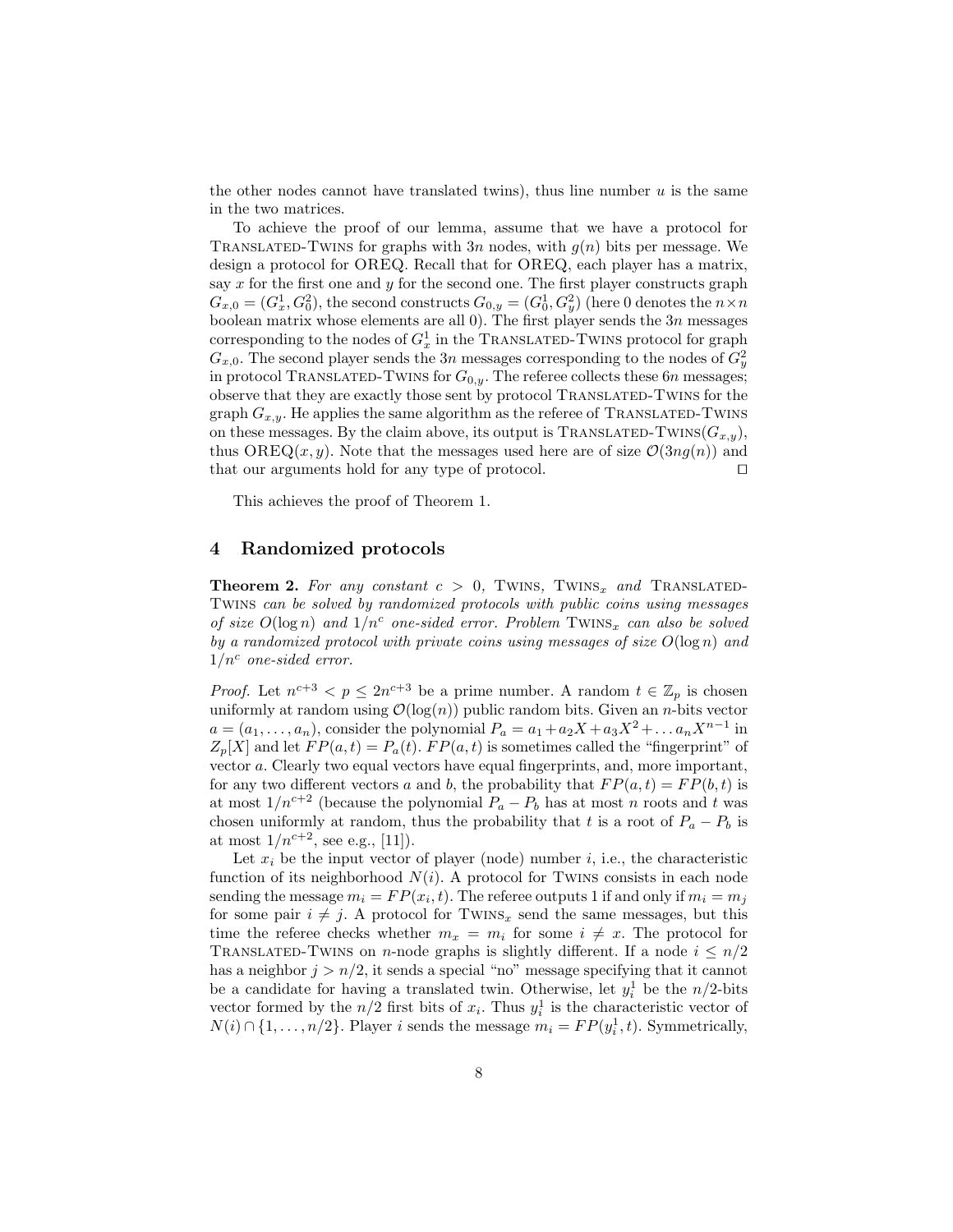the other nodes cannot have translated twins), thus line number  $u$  is the same in the two matrices.

To achieve the proof of our lemma, assume that we have a protocol for TRANSLATED-TWINS for graphs with  $3n$  nodes, with  $g(n)$  bits per message. We design a protocol for OREQ. Recall that for OREQ, each player has a matrix, say  $x$  for the first one and  $y$  for the second one. The first player constructs graph  $G_{x,0}=(G_x^1,G_0^2),$  the second constructs  $G_{0,y}=(G_0^1,G_y^2)$  (here 0 denotes the  $n\times n$ boolean matrix whose elements are all  $0$ ). The first player sends the  $3n$  messages corresponding to the nodes of  $G_x^1$  in the TRANSLATED-TWINS protocol for graph  $G_{x,0}$ . The second player sends the 3n messages corresponding to the nodes of  $G_y^2$ in protocol TRANSLATED-TWINS for  $G_{0,y}$ . The referee collects these 6n messages; observe that they are exactly those sent by protocol Translated-Twins for the graph  $G_{x,y}$ . He applies the same algorithm as the referee of TRANSLATED-TWINS on these messages. By the claim above, its output is TRANSLATED-TWINS( $G_{x,y}$ ), thus OREQ(x, y). Note that the messages used here are of size  $\mathcal{O}(3n g(n))$  and that our arguments hold for any type of protocol.  $\Box$ 

This achieves the proof of Theorem 1.

#### 4 Randomized protocols

**Theorem 2.** For any constant  $c > 0$ , TWINS, TWINS<sub>x</sub> and TRANSLATED-Twins can be solved by randomized protocols with public coins using messages of size  $O(\log n)$  and  $1/n^c$  one-sided error. Problem TWINS<sub>x</sub> can also be solved by a randomized protocol with private coins using messages of size  $O(\log n)$  and  $1/n^c$  one-sided error.

*Proof.* Let  $n^{c+3} < p \leq 2n^{c+3}$  be a prime number. A random  $t \in \mathbb{Z}_p$  is chosen uniformly at random using  $\mathcal{O}(\log(n))$  public random bits. Given an *n*-bits vector  $a = (a_1, \ldots, a_n)$ , consider the polynomial  $P_a = a_1 + a_2X + a_3X^2 + \ldots a_nX^{n-1}$  in  $Z_p[X]$  and let  $FP(a,t) = P_a(t)$ .  $FP(a,t)$  is sometimes called the "fingerprint" of vector a. Clearly two equal vectors have equal fingerprints, and, more important, for any two different vectors a and b, the probability that  $FP(a, t) = FP(b, t)$  is at most  $1/n^{c+2}$  (because the polynomial  $P_a - P_b$  has at most n roots and t was chosen uniformly at random, thus the probability that t is a root of  $P_a - P_b$  is at most  $1/n^{c+2}$ , see e.g., [11]).

Let  $x_i$  be the input vector of player (node) number i, i.e., the characteristic function of its neighborhood  $N(i)$ . A protocol for TWINS consists in each node sending the message  $m_i = FP(x_i, t)$ . The referee outputs 1 if and only if  $m_i = m_j$ for some pair  $i \neq j$ . A protocol for TWINS<sub>x</sub> send the same messages, but this time the referee checks whether  $m_x = m_i$  for some  $i \neq x$ . The protocol for TRANSLATED-TWINS on n-node graphs is slightly different. If a node  $i \leq n/2$ has a neighbor  $j > n/2$ , it sends a special "no" message specifying that it cannot be a candidate for having a translated twin. Otherwise, let  $y_i^1$  be the  $n/2$ -bits vector formed by the  $n/2$  first bits of  $x_i$ . Thus  $y_i^1$  is the characteristic vector of  $N(i) \cap \{1, \ldots, n/2\}$ . Player *i* sends the message  $m_i = FP(y_i^1, t)$ . Symmetrically,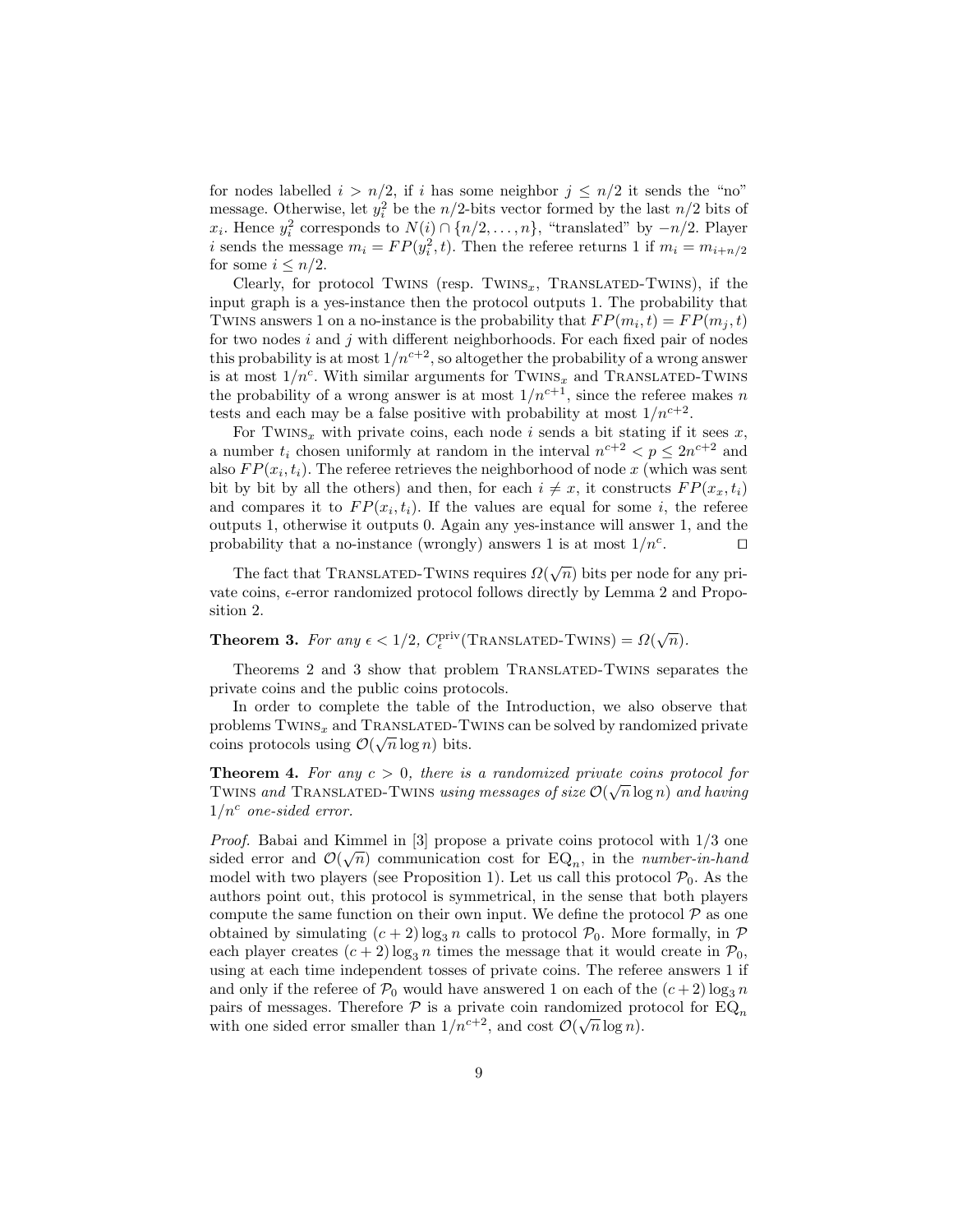for nodes labelled  $i > n/2$ , if i has some neighbor  $j \leq n/2$  it sends the "no" message. Otherwise, let  $y_i^2$  be the  $n/2$ -bits vector formed by the last  $n/2$  bits of  $x_i$ . Hence  $y_i^2$  corresponds to  $N(i) \cap \{n/2, \ldots, n\}$ , "translated" by  $-n/2$ . Player i sends the message  $m_i = FP(y_i^2, t)$ . Then the referee returns 1 if  $m_i = m_{i+n/2}$ for some  $i \leq n/2$ .

Clearly, for protocol TWINS (resp. TWINS<sub>x</sub>, TRANSLATED-TWINS), if the input graph is a yes-instance then the protocol outputs 1. The probability that TWINS answers 1 on a no-instance is the probability that  $FP(m_i, t) = FP(m_j, t)$ for two nodes  $i$  and  $j$  with different neighborhoods. For each fixed pair of nodes this probability is at most  $1/n^{c+2}$ , so altogether the probability of a wrong answer is at most  $1/n^c$ . With similar arguments for TWINS<sub>x</sub> and TRANSLATED-TWINS the probability of a wrong answer is at most  $1/n^{c+1}$ , since the referee makes n tests and each may be a false positive with probability at most  $1/n^{c+2}$ .

For TWINS<sub>x</sub> with private coins, each node i sends a bit stating if it sees x, a number  $t_i$  chosen uniformly at random in the interval  $n^{c+2} < p \leq 2n^{c+2}$  and also  $FP(x_i, t_i)$ . The referee retrieves the neighborhood of node x (which was sent bit by bit by all the others) and then, for each  $i \neq x$ , it constructs  $FP(x_x, t_i)$ and compares it to  $FP(x_i, t_i)$ . If the values are equal for some i, the referee outputs 1, otherwise it outputs 0. Again any yes-instance will answer 1, and the probability that a no-instance (wrongly) answers 1 is at most  $1/n<sup>c</sup>$ . .  $\Box$ 

The fact that TRANSLATED-TWINS requires  $\Omega(\sqrt{n})$  bits per node for any private coins,  $\epsilon$ -error randomized protocol follows directly by Lemma 2 and Proposition 2.

# **Theorem 3.** For any  $\epsilon < 1/2$ ,  $C_{\epsilon}^{\text{priv}}(\text{TransLATED-TWINS}) = \Omega(\sqrt{n}).$

Theorems 2 and 3 show that problem TRANSLATED-TWINS separates the private coins and the public coins protocols.

In order to complete the table of the Introduction, we also observe that problems  $TWINS_x$  and  $TRANSLATED-TWINS$  can be solved by randomized private coins protocols using  $\mathcal{O}(\sqrt{n}\log n)$  bits.

**Theorem 4.** For any  $c > 0$ , there is a randomized private coins protocol for TWINS and TRANSLATED-TWINS using messages of size  $\mathcal{O}(\sqrt{n}\log n)$  and having  $1/n^c$  one-sided error.

*Proof.* Babai and Kimmel in [3] propose a private coins protocol with  $1/3$  one sided error and  $\mathcal{O}(\sqrt{n})$  communication cost for EQ<sub>n</sub>, in the *number-in-hand* model with two players (see Proposition 1). Let us call this protocol  $\mathcal{P}_0$ . As the authors point out, this protocol is symmetrical, in the sense that both players compute the same function on their own input. We define the protocol  $P$  as one obtained by simulating  $(c+2) \log_3 n$  calls to protocol  $\mathcal{P}_0$ . More formally, in  $\mathcal P$ each player creates  $(c+2) \log_3 n$  times the message that it would create in  $\mathcal{P}_0$ , using at each time independent tosses of private coins. The referee answers 1 if and only if the referee of  $\mathcal{P}_0$  would have answered 1 on each of the  $(c+2) \log_3 n$ pairs of messages. Therefore  $\mathcal P$  is a private coin randomized protocol for  $\mathbb{E} \widetilde{\mathcal{Q}}_n$ with one sided error smaller than  $1/n^{c+2}$ , and cost  $\mathcal{O}(\sqrt{n}\log n)$ .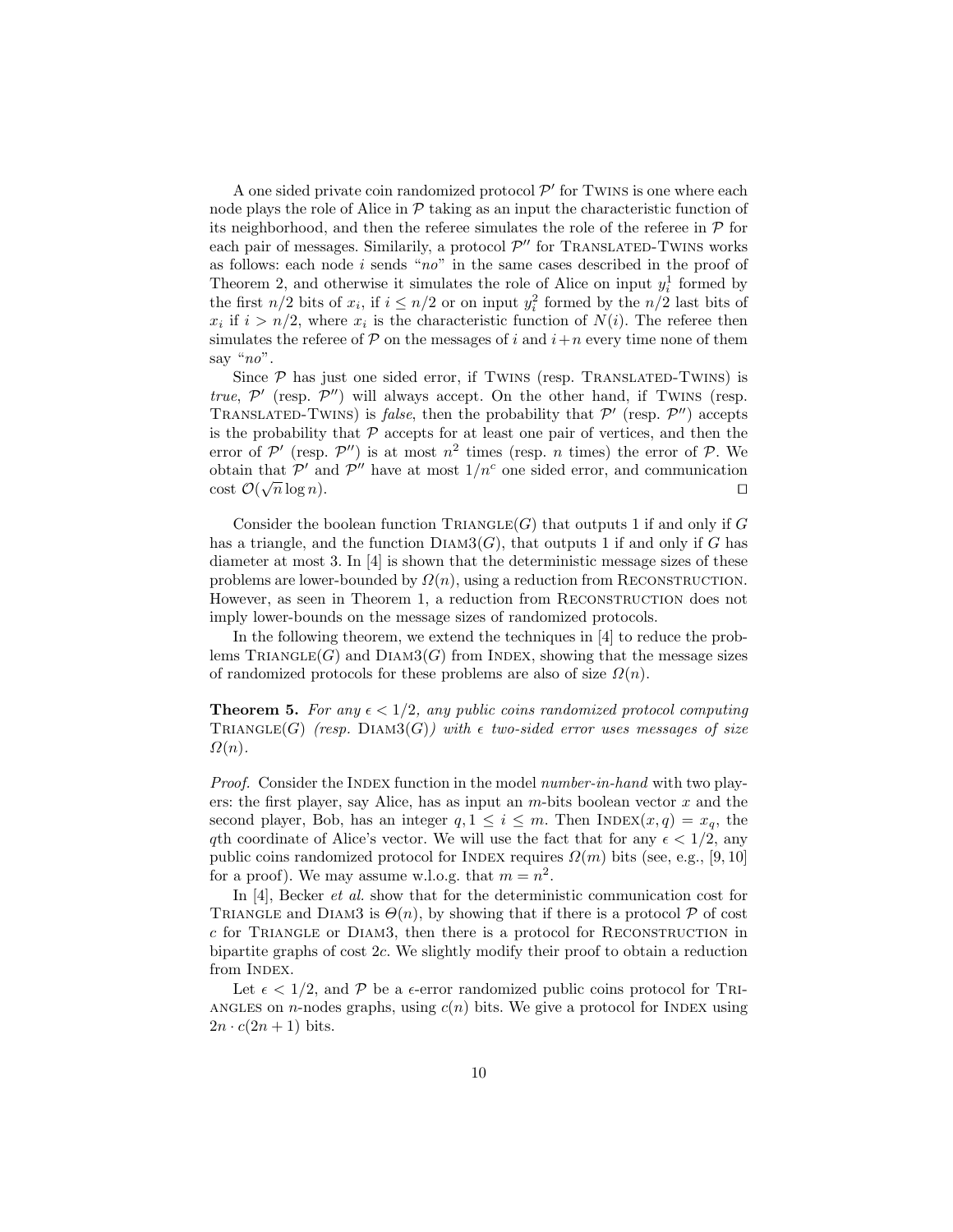A one sided private coin randomized protocol  $\mathcal{P}'$  for TWINS is one where each node plays the role of Alice in  $\mathcal P$  taking as an input the characteristic function of its neighborhood, and then the referee simulates the role of the referee in  $\mathcal P$  for each pair of messages. Similarily, a protocol  $\mathcal{P}''$  for TRANSLATED-TWINS works as follows: each node  $i$  sends "no" in the same cases described in the proof of Theorem 2, and otherwise it simulates the role of Alice on input  $y_i^1$  formed by the first  $n/2$  bits of  $x_i$ , if  $i \leq n/2$  or on input  $y_i^2$  formed by the  $n/2$  last bits of  $x_i$  if  $i > n/2$ , where  $x_i$  is the characteristic function of  $N(i)$ . The referee then simulates the referee of  $P$  on the messages of i and  $i+n$  every time none of them say "no".

Since  $P$  has just one sided error, if TWINS (resp. TRANSLATED-TWINS) is true,  $\mathcal{P}'$  (resp.  $\mathcal{P}''$ ) will always accept. On the other hand, if TWINS (resp. TRANSLATED-TWINS) is *false*, then the probability that  $\mathcal{P}'$  (resp.  $\mathcal{P}''$ ) accepts is the probability that  $P$  accepts for at least one pair of vertices, and then the error of  $\mathcal{P}'$  (resp.  $\mathcal{P}''$ ) is at most  $n^2$  times (resp. *n* times) the error of  $\mathcal{P}$ . We obtain that  $\mathcal{P}'$  and  $\mathcal{P}''$  have at most  $1/n^c$  one sided error, and communication  $\cot \mathcal{O}(\sqrt{n}\log n).$ 

Consider the boolean function  $\text{TRIANGLE}(G)$  that outputs 1 if and only if G has a triangle, and the function  $DIAM3(G)$ , that outputs 1 if and only if G has diameter at most 3. In [4] is shown that the deterministic message sizes of these problems are lower-bounded by  $\Omega(n)$ , using a reduction from RECONSTRUCTION. However, as seen in Theorem 1, a reduction from RECONSTRUCTION does not imply lower-bounds on the message sizes of randomized protocols.

In the following theorem, we extend the techniques in [4] to reduce the problems  $\mathrm{TRIANGE}(G)$  and  $\mathrm{DIAM3}(G)$  from INDEX, showing that the message sizes of randomized protocols for these problems are also of size  $\Omega(n)$ .

**Theorem 5.** For any  $\epsilon < 1/2$ , any public coins randomized protocol computing TRIANGLE(G) (resp. DIAM3(G)) with  $\epsilon$  two-sided error uses messages of size  $\Omega(n).$ 

Proof. Consider the INDEX function in the model number-in-hand with two players: the first player, say Alice, has as input an  $m$ -bits boolean vector  $x$  and the second player, Bob, has an integer  $q, 1 \leq i \leq m$ . Then INDEX $(x, q) = x_q$ , the qth coordinate of Alice's vector. We will use the fact that for any  $\epsilon < 1/2$ , any public coins randomized protocol for INDEX requires  $\Omega(m)$  bits (see, e.g., [9, 10] for a proof). We may assume w.l.o.g. that  $m = n^2$ .

In [4], Becker *et al.* show that for the deterministic communication cost for TRIANGLE and DIAM3 is  $\Theta(n)$ , by showing that if there is a protocol  $\mathcal P$  of cost  $c$  for TRIANGLE or DIAM3, then there is a protocol for RECONSTRUCTION in bipartite graphs of cost 2c. We slightly modify their proof to obtain a reduction from INDEX.

Let  $\epsilon < 1/2$ , and P be a  $\epsilon$ -error randomized public coins protocol for TRI-ANGLES on *n*-nodes graphs, using  $c(n)$  bits. We give a protocol for INDEX using  $2n \cdot c(2n+1)$  bits.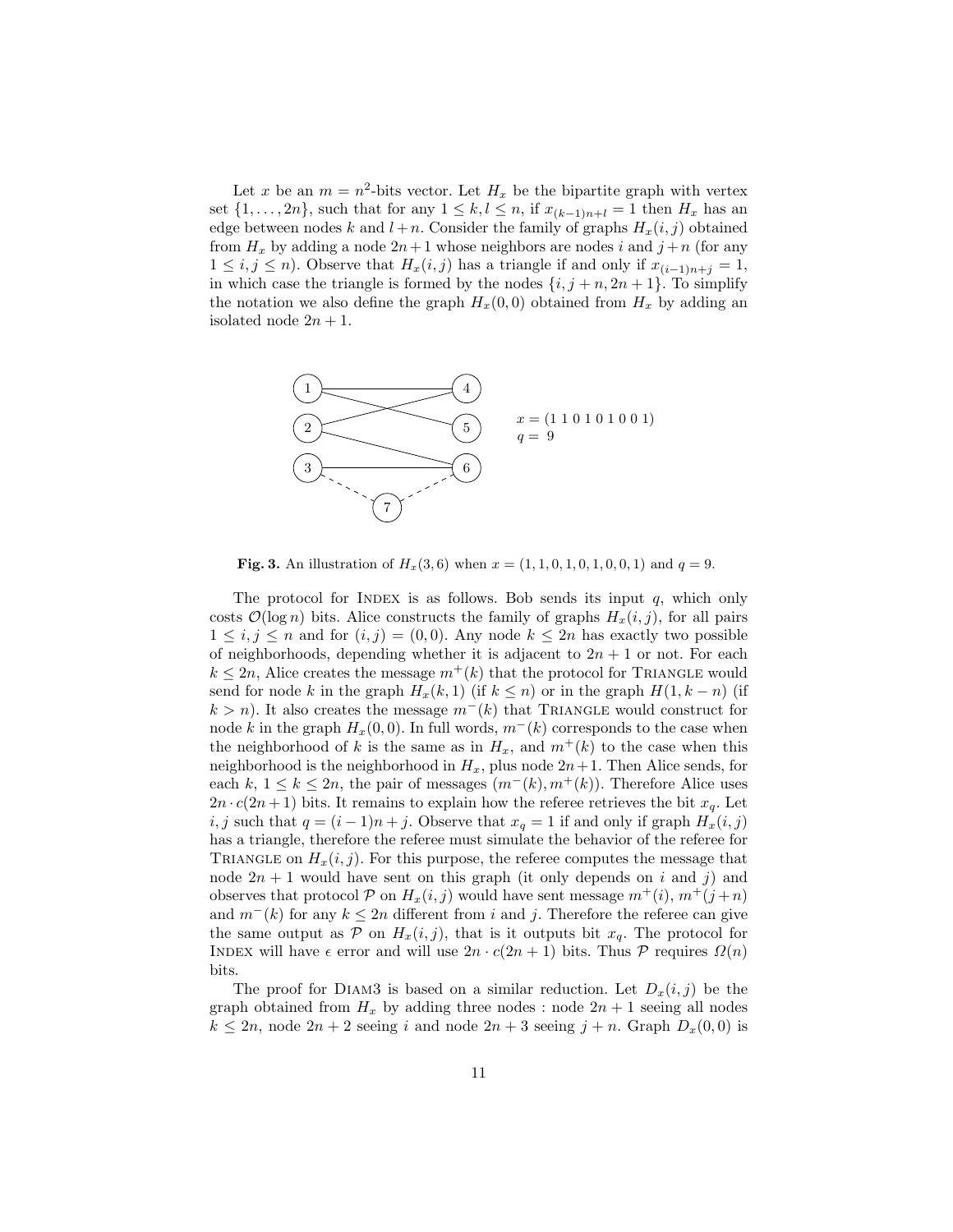Let x be an  $m = n^2$ -bits vector. Let  $H_x$  be the bipartite graph with vertex set  $\{1, \ldots, 2n\}$ , such that for any  $1 \leq k, l \leq n$ , if  $x_{(k-1)n+l} = 1$  then  $H_x$  has an edge between nodes k and  $l + n$ . Consider the family of graphs  $H_x(i, j)$  obtained from  $H_x$  by adding a node  $2n+1$  whose neighbors are nodes i and  $j+n$  (for any  $1 \leq i, j \leq n$ ). Observe that  $H_x(i, j)$  has a triangle if and only if  $x_{(i-1)n+i} = 1$ , in which case the triangle is formed by the nodes  $\{i, j + n, 2n + 1\}$ . To simplify the notation we also define the graph  $H<sub>x</sub>(0, 0)$  obtained from  $H<sub>x</sub>$  by adding an isolated node  $2n + 1$ .



**Fig. 3.** An illustration of  $H_x(3,6)$  when  $x = (1, 1, 0, 1, 0, 1, 0, 0, 1)$  and  $q = 9$ .

The protocol for INDEX is as follows. Bob sends its input  $q$ , which only costs  $\mathcal{O}(\log n)$  bits. Alice constructs the family of graphs  $H_x(i, j)$ , for all pairs  $1 \leq i, j \leq n$  and for  $(i, j) = (0, 0)$ . Any node  $k \leq 2n$  has exactly two possible of neighborhoods, depending whether it is adjacent to  $2n + 1$  or not. For each  $k \leq 2n$ , Alice creates the message  $m^+(k)$  that the protocol for TRIANGLE would send for node k in the graph  $H_x(k, 1)$  (if  $k \leq n$ ) or in the graph  $H(1, k - n)$  (if  $k > n$ ). It also creates the message  $m^-(k)$  that TRIANGLE would construct for node k in the graph  $H_x(0, 0)$ . In full words,  $m^-(k)$  corresponds to the case when the neighborhood of k is the same as in  $H_x$ , and  $m^+(k)$  to the case when this neighborhood is the neighborhood in  $H_x$ , plus node  $2n+1$ . Then Alice sends, for each k,  $1 \leq k \leq 2n$ , the pair of messages  $(m^-(k), m^+(k))$ . Therefore Alice uses  $2n \cdot c(2n+1)$  bits. It remains to explain how the referee retrieves the bit  $x_q$ . Let i, j such that  $q = (i - 1)n + j$ . Observe that  $x_q = 1$  if and only if graph  $H_x(i, j)$ has a triangle, therefore the referee must simulate the behavior of the referee for TRIANGLE on  $H_x(i, j)$ . For this purpose, the referee computes the message that node  $2n + 1$  would have sent on this graph (it only depends on i and j) and observes that protocol P on  $H_x(i, j)$  would have sent message  $m^+(i)$ ,  $m^+(j+n)$ and  $m^{-}(k)$  for any  $k \leq 2n$  different from i and j. Therefore the referee can give the same output as  $P$  on  $H_x(i, j)$ , that is it outputs bit  $x_q$ . The protocol for INDEX will have  $\epsilon$  error and will use  $2n \cdot c(2n+1)$  bits. Thus P requires  $\Omega(n)$ bits.

The proof for DIAM3 is based on a similar reduction. Let  $D_x(i, j)$  be the graph obtained from  $H_x$  by adding three nodes : node  $2n + 1$  seeing all nodes  $k \le 2n$ , node  $2n + 2$  seeing i and node  $2n + 3$  seeing  $j + n$ . Graph  $D_x(0, 0)$  is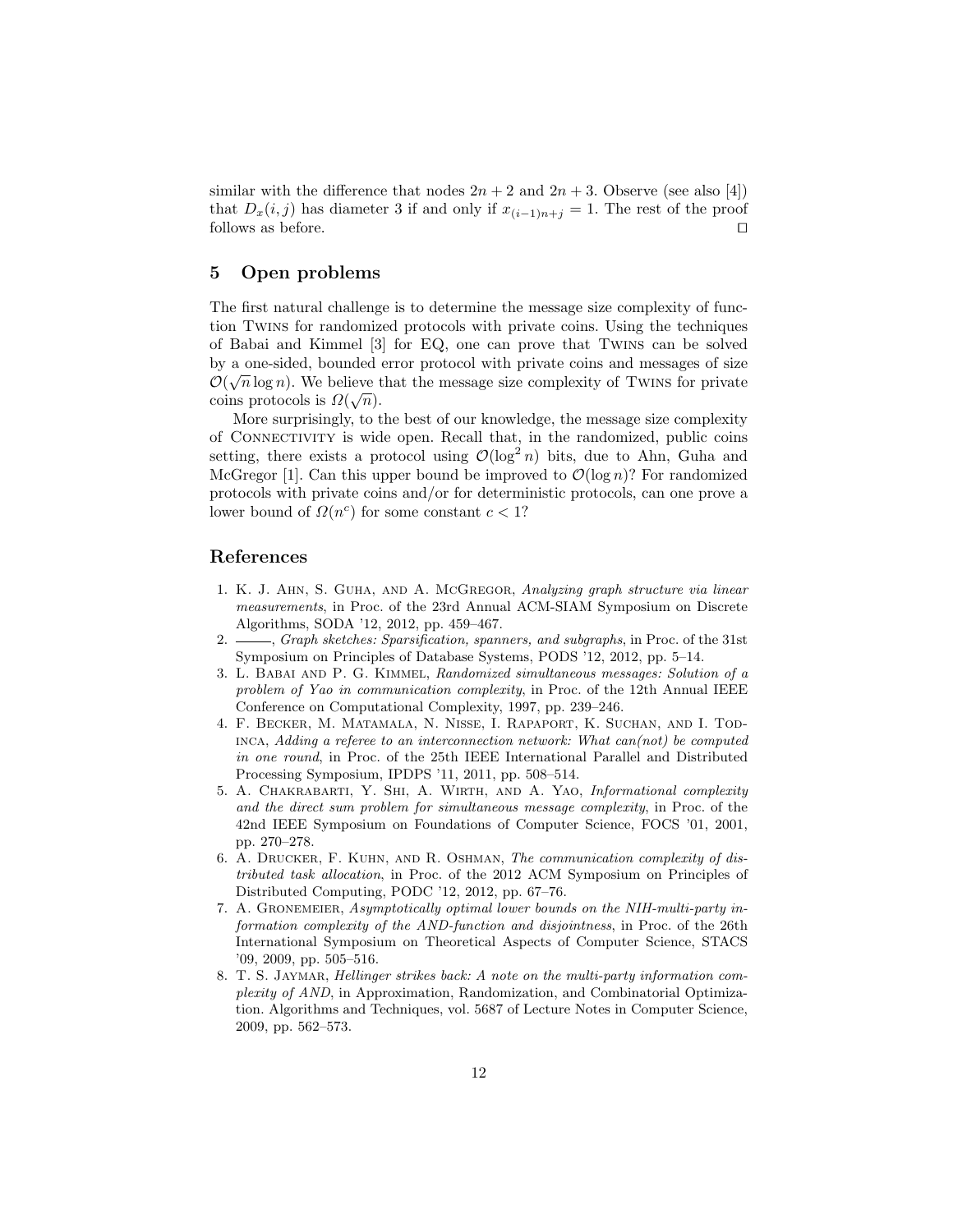similar with the difference that nodes  $2n + 2$  and  $2n + 3$ . Observe (see also [4]) that  $D_x(i, j)$  has diameter 3 if and only if  $x_{(i-1)n+j} = 1$ . The rest of the proof follows as before.  $\Box$ 

## 5 Open problems

The first natural challenge is to determine the message size complexity of function Twins for randomized protocols with private coins. Using the techniques of Babai and Kimmel [3] for EQ, one can prove that Twins can be solved by a one-sided, bounded error protocol with private coins and messages of size  $\mathcal{O}(\sqrt{m})$ .  $\mathcal{O}(\sqrt{n}\log n)$ . We believe that the message size complexity of TWINS for private coins protocols is  $\Omega(\sqrt{n})$ .

More surprisingly, to the best of our knowledge, the message size complexity of Connectivity is wide open. Recall that, in the randomized, public coins setting, there exists a protocol using  $\mathcal{O}(\log^2 n)$  bits, due to Ahn, Guha and McGregor [1]. Can this upper bound be improved to  $\mathcal{O}(\log n)$ ? For randomized protocols with private coins and/or for deterministic protocols, can one prove a lower bound of  $\Omega(n^c)$  for some constant  $c < 1$ ?

#### References

- 1. K. J. Ahn, S. Guha, and A. McGregor, Analyzing graph structure via linear measurements, in Proc. of the 23rd Annual ACM-SIAM Symposium on Discrete Algorithms, SODA '12, 2012, pp. 459–467.
- 2.  $\frac{1}{2}$ , Graph sketches: Sparsification, spanners, and subgraphs, in Proc. of the 31st Symposium on Principles of Database Systems, PODS '12, 2012, pp. 5–14.
- 3. L. Babai and P. G. Kimmel, Randomized simultaneous messages: Solution of a problem of Yao in communication complexity, in Proc. of the 12th Annual IEEE Conference on Computational Complexity, 1997, pp. 239–246.
- 4. F. Becker, M. Matamala, N. Nisse, I. Rapaport, K. Suchan, and I. Tod- $INCA, Adding a reference to an interconnection network: What can (not) be computed$ in one round, in Proc. of the 25th IEEE International Parallel and Distributed Processing Symposium, IPDPS '11, 2011, pp. 508–514.
- 5. A. Chakrabarti, Y. Shi, A. Wirth, and A. Yao, Informational complexity and the direct sum problem for simultaneous message complexity, in Proc. of the 42nd IEEE Symposium on Foundations of Computer Science, FOCS '01, 2001, pp. 270–278.
- 6. A. Drucker, F. Kuhn, and R. Oshman, The communication complexity of distributed task allocation, in Proc. of the 2012 ACM Symposium on Principles of Distributed Computing, PODC '12, 2012, pp. 67–76.
- 7. A. Gronemeier, Asymptotically optimal lower bounds on the NIH-multi-party information complexity of the AND-function and disjointness, in Proc. of the 26th International Symposium on Theoretical Aspects of Computer Science, STACS '09, 2009, pp. 505–516.
- 8. T. S. JAYMAR, Hellinger strikes back: A note on the multi-party information complexity of AND, in Approximation, Randomization, and Combinatorial Optimization. Algorithms and Techniques, vol. 5687 of Lecture Notes in Computer Science, 2009, pp. 562–573.